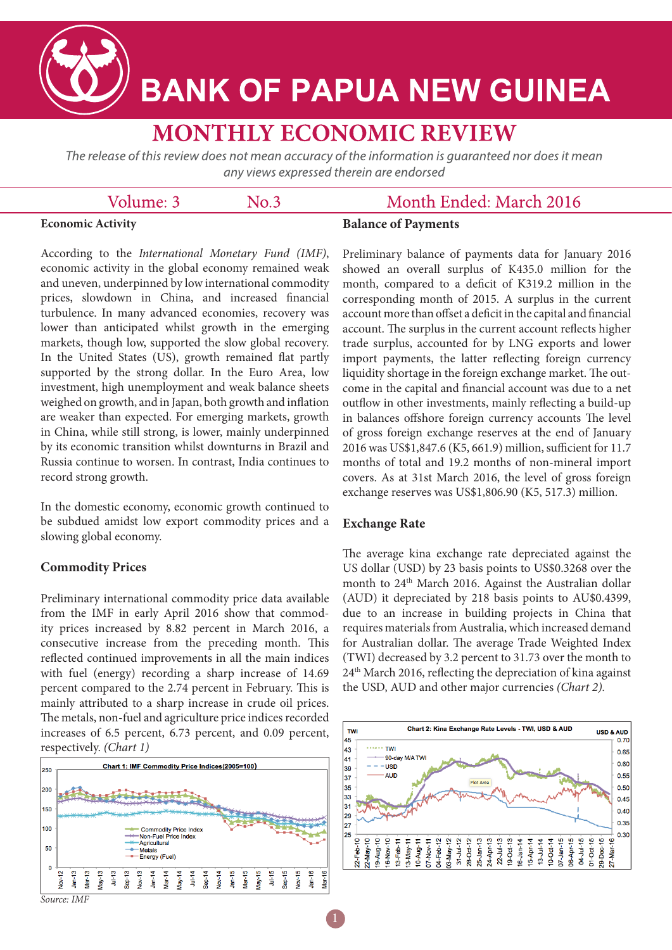

# **BANK OF PAPUA NEW GUINEA**

# **MONTHLY ECONOMIC REVIEW**

The release of this review does not mean accuracy of the information is quaranteed nor does it mean any views expressed therein are endorsed

 $No.3$ 

## Volume: 3

# Month Ended: March 2016

#### **Economic Activity**

**Balance of Payments**

According to the *International Monetary Fund (IMF)*, economic activity in the global economy remained weak and uneven, underpinned by low international commodity prices, slowdown in China, and increased financial turbulence. In many advanced economies, recovery was lower than anticipated whilst growth in the emerging markets, though low, supported the slow global recovery. In the United States (US), growth remained flat partly supported by the strong dollar. In the Euro Area, low investment, high unemployment and weak balance sheets weighed on growth, and in Japan, both growth and inflation are weaker than expected. For emerging markets, growth in China, while still strong, is lower, mainly underpinned by its economic transition whilst downturns in Brazil and Russia continue to worsen. In contrast, India continues to record strong growth.

In the domestic economy, economic growth continued to be subdued amidst low export commodity prices and a slowing global economy.

### **Commodity Prices**

Preliminary international commodity price data available from the IMF in early April 2016 show that commodity prices increased by 8.82 percent in March 2016, a consecutive increase from the preceding month. This reflected continued improvements in all the main indices with fuel (energy) recording a sharp increase of 14.69 percent compared to the 2.74 percent in February. This is mainly attributed to a sharp increase in crude oil prices. The metals, non-fuel and agriculture price indices recorded increases of 6.5 percent, 6.73 percent, and 0.09 percent, respectively. *(Chart 1)*



Preliminary balance of payments data for January 2016 showed an overall surplus of K435.0 million for the month, compared to a deficit of K319.2 million in the corresponding month of 2015. A surplus in the current account more than offset a deficit in the capital and financial account. The surplus in the current account reflects higher trade surplus, accounted for by LNG exports and lower import payments, the latter reflecting foreign currency liquidity shortage in the foreign exchange market. The outcome in the capital and financial account was due to a net outflow in other investments, mainly reflecting a build-up in balances offshore foreign currency accounts The level of gross foreign exchange reserves at the end of January 2016 was US\$1,847.6 (K5, 661.9) million, sufficient for 11.7 months of total and 19.2 months of non-mineral import covers. As at 31st March 2016, the level of gross foreign exchange reserves was US\$1,806.90 (K5, 517.3) million.

#### **Exchange Rate**

The average kina exchange rate depreciated against the US dollar (USD) by 23 basis points to US\$0.3268 over the month to 24<sup>th</sup> March 2016. Against the Australian dollar (AUD) it depreciated by 218 basis points to AU\$0.4399, due to an increase in building projects in China that requires materials from Australia, which increased demand for Australian dollar. The average Trade Weighted Index (TWI) decreased by 3.2 percent to 31.73 over the month to 24th March 2016, reflecting the depreciation of kina against the USD, AUD and other major currencies *(Chart 2).* 



*Source: IMF*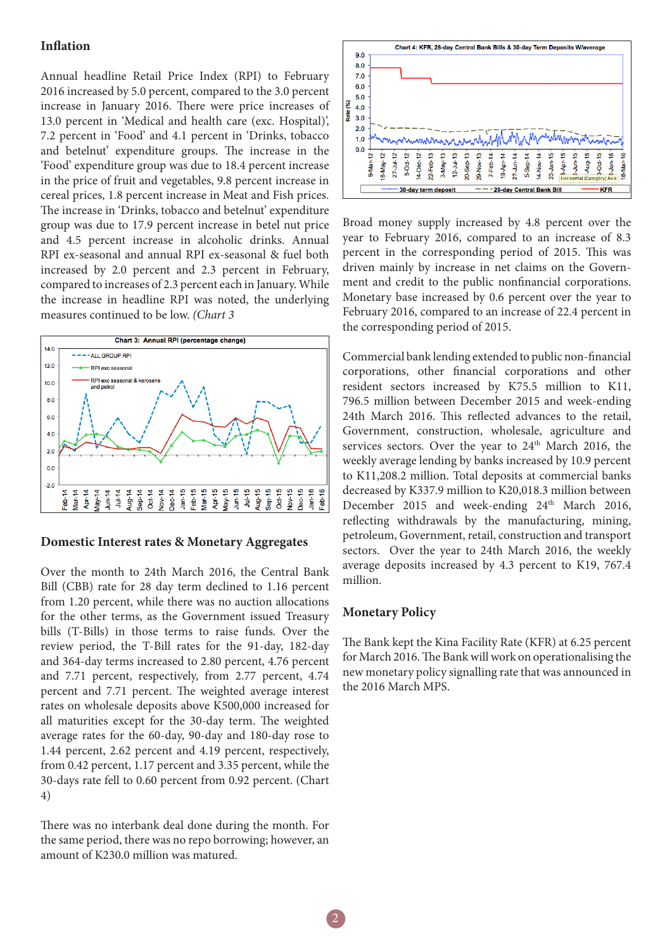#### **Inflation**

Annual headline Retail Price Index (RPI) to February 2016 increased by 5.0 percent, compared to the 3.0 percent increase in January 2016. There were price increases of 13.0 percent in 'Medical and health care (exc. Hospital)', 7.2 percent in 'Food' and 4.1 percent in 'Drinks, tobacco and betelnut' expenditure groups. The increase in the 'Food' expenditure group was due to 18.4 percent increase in the price of fruit and vegetables, 9.8 percent increase in cereal prices, 1.8 percent increase in Meat and Fish prices. The increase in 'Drinks, tobacco and betelnut' expenditure group was due to 17.9 percent increase in betel nut price and 4.5 percent increase in alcoholic drinks. Annual RPI ex-seasonal and annual RPI ex-seasonal & fuel both increased by 2.0 percent and 2.3 percent in February, compared to increases of 2.3 percent each in January. While the increase in headline RPI was noted, the underlying measures continued to be low. *(Chart 3*



#### **Domestic Interest rates & Monetary Aggregates**

Over the month to 24th March 2016, the Central Bank Bill (CBB) rate for 28 day term declined to 1.16 percent from 1.20 percent, while there was no auction allocations for the other terms, as the Government issued Treasury bills (T-Bills) in those terms to raise funds. Over the review period, the T-Bill rates for the 91-day, 182-day and 364-day terms increased to 2.80 percent, 4.76 percent and 7.71 percent, respectively, from 2.77 percent, 4.74 percent and 7.71 percent. The weighted average interest rates on wholesale deposits above K500,000 increased for all maturities except for the 30-day term. The weighted average rates for the 60-day, 90-day and 180-day rose to 1.44 percent, 2.62 percent and 4.19 percent, respectively, from 0.42 percent, 1.17 percent and 3.35 percent, while the 30-days rate fell to 0.60 percent from 0.92 percent. (Chart 4)

There was no interbank deal done during the month. For the same period, there was no repo borrowing; however, an amount of K230.0 million was matured.



Broad money supply increased by 4.8 percent over the year to February 2016, compared to an increase of 8.3 percent in the corresponding period of 2015. This was driven mainly by increase in net claims on the Government and credit to the public nonfinancial corporations. Monetary base increased by 0.6 percent over the year to February 2016, compared to an increase of 22.4 percent in the corresponding period of 2015.

Commercial bank lending extended to public non-financial corporations, other financial corporations and other resident sectors increased by K75.5 million to K11, 796.5 million between December 2015 and week-ending 24th March 2016. This reflected advances to the retail, Government, construction, wholesale, agriculture and services sectors. Over the year to 24<sup>th</sup> March 2016, the weekly average lending by banks increased by 10.9 percent to K11,208.2 million. Total deposits at commercial banks decreased by K337.9 million to K20,018.3 million between December 2015 and week-ending 24<sup>th</sup> March 2016, reflecting withdrawals by the manufacturing, mining, petroleum, Government, retail, construction and transport sectors. Over the year to 24th March 2016, the weekly average deposits increased by 4.3 percent to K19, 767.4 million.

#### **Monetary Policy**

The Bank kept the Kina Facility Rate (KFR) at 6.25 percent for March 2016. The Bank will work on operationalising the new monetary policy signalling rate that was announced in the 2016 March MPS.